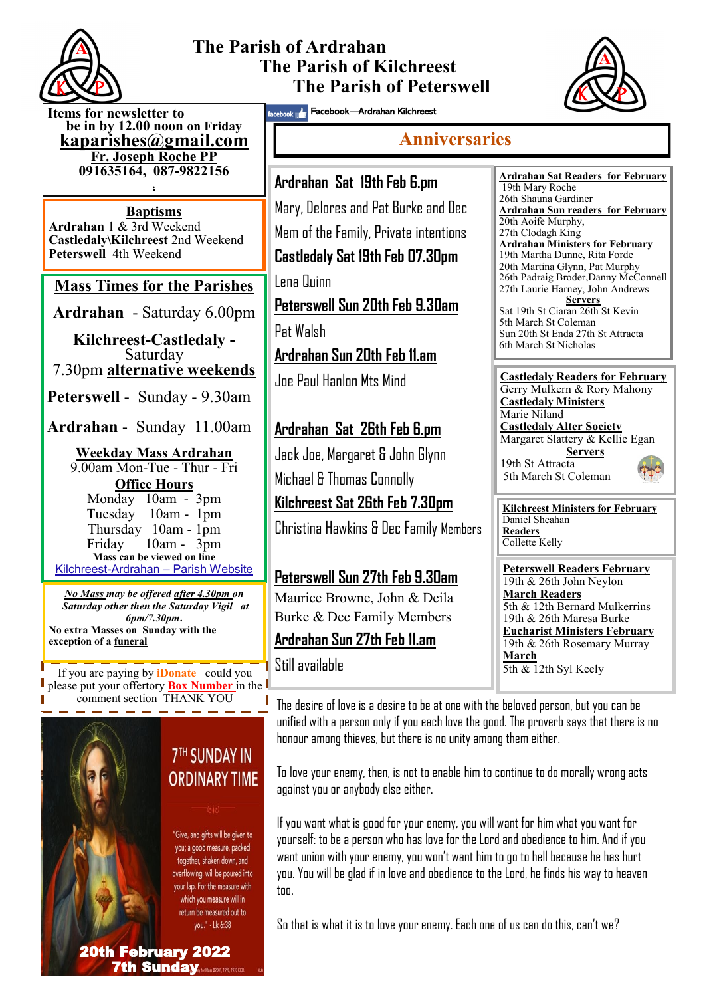

# **The Parish of Ardrahan The Parish of Kilchreest The Parish of Peterswell**



**Items for newsletter to be in by 12.00 noon on Friday [kaparishes@gmail.com](mailto:kaparish@gmail.com) Fr. Joseph Roche PP 091635164, 087-9822156** 

**.**

**Baptisms Ardrahan** 1 & 3rd Weekend **Castledaly\Kilchreest** 2nd Weekend **Peterswell** 4th Weekend

## **Mass Times for the Parishes**

**Ardrahan** - Saturday 6.00pm

**Kilchreest-Castledaly -**  Saturday 7.30pm **alternative weekends**

**Peterswell** - Sunday - 9.30am

**Ardrahan** - Sunday 11.00am

**Weekday Mass Ardrahan**  9.00am Mon-Tue - Thur - Fri **Office Hours**  Monday 10am - 3pm Tuesday 10am - 1pm Thursday 10am - 1pm Friday 10am - 3pm **Mass can be viewed on line**  Kilchreest-Ardrahan – Parish Website

*No Mass may be offered after 4.30pm on Saturday other then the Saturday Vigil at 6pm/7.30pm***. No extra Masses on Sunday with the exception of a funeral**

Still available If you are paying by **iDonate** could you please put your offertory **Box Number** in the comment section THANK YOU



**7TH SUNDAY IN ORDINARY TIME** 

"Give, and gifts will be given to you; a good measure, packed together, shaken down, and overflowing, will be poured into your lap. For the measure with which you measure will in return be measured out to you." - Lk 6:38

facebook **Araban Kilchreest** 

## **Anniversaries**

**Ardrahan Sat 19th Feb 6.pm** Mary, Delores and Pat Burke and Dec

Mem of the Family, Private intentions

**Castledaly Sat 19th Feb 07.30pm**

Lena Quinn

**Peterswell Sun 20th Feb 9.30am**

Pat Walsh

**Ardrahan Sun 20th Feb 11.am**

Joe Paul Hanlon Mts Mind

## **Ardrahan Sat 26th Feb 6.pm**

Jack Joe, Margaret & John Glynn Michael & Thomas Connolly

**Kilchreest Sat 26th Feb 7.30pm**

Christina Hawkins & Dec Family Members

#### **Peterswell Sun 27th Feb 9.30am**

Maurice Browne, John & Deila Burke & Dec Family Members

## **Ardrahan Sun 27th Feb 11.am**

**Ardrahan Sat Readers for February**  19th Mary Roche 26th Shauna Gardiner **Ardrahan Sun readers for February** 20th Aoife Murphy, 27th Clodagh King **Ardrahan Ministers for February** 19th Martha Dunne, Rita Forde 20th Martina Glynn, Pat Murphy 26th Padraig Broder,Danny McConnell 27th Laurie Harney, John Andrews **Servers** Sat 19th St Ciaran 26th St Kevin 5th March St Coleman Sun 20th St Enda 27th St Attracta 6th March St Nicholas



**Kilchreest Ministers for February** Daniel Sheahan **Readers** Collette Kelly

**Peterswell Readers February** 19th & 26th John Neylon **March Readers** 5th & 12th Bernard Mulkerrins 19th & 26th Maresa Burke **Eucharist Ministers February** 19th & 26th Rosemary Murray **March**  $\overline{5th \&}$  12th Syl Keely

The desire of love is a desire to be at one with the beloved person, but you can be unified with a person only if you each love the good. The proverb says that there is no honour among thieves, but there is no unity among them either.

To love your enemy, then, is not to enable him to continue to do morally wrong acts against you or anybody else either.

If you want what is good for your enemy, you will want for him what you want for yourself: to be a person who has love for the Lord and obedience to him. And if you want union with your enemy, you won't want him to go to hell because he has hurt you. You will be glad if in love and obedience to the Lord, he finds his way to heaven too.

So that is what it is to love your enemy. Each one of us can do this, can't we?